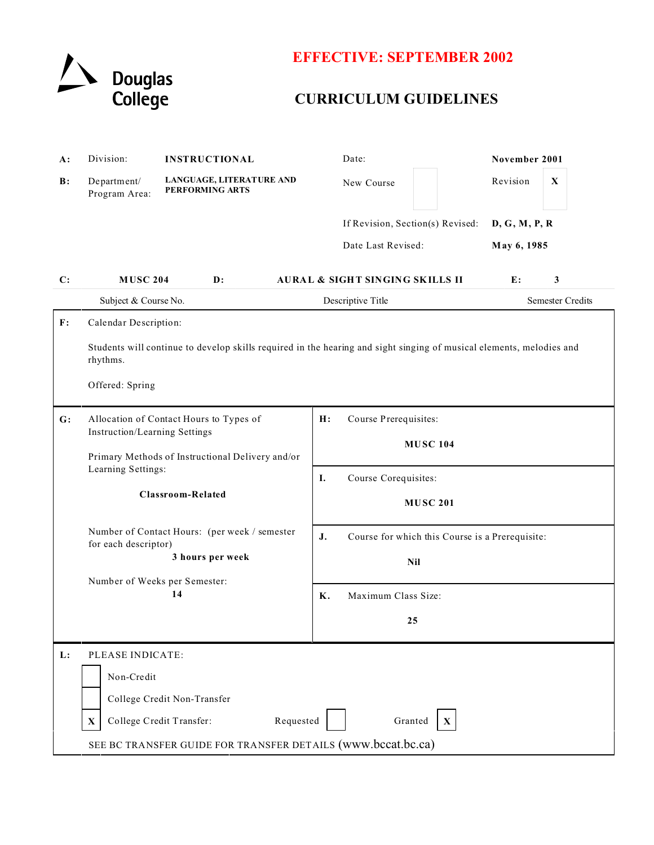

## **EFFECTIVE: SEPTEMBER 2002**

## **CURRICULUM GUIDELINES**

| $A$ :          | Division:                                                                                                                                                               | <b>INSTRUCTIONAL</b>                               | Date:                                                                                  |         | November 2001 |   |                         |  |
|----------------|-------------------------------------------------------------------------------------------------------------------------------------------------------------------------|----------------------------------------------------|----------------------------------------------------------------------------------------|---------|---------------|---|-------------------------|--|
| B:             | Department/<br>Program Area:                                                                                                                                            | LANGUAGE, LITERATURE AND<br><b>PERFORMING ARTS</b> | New Course                                                                             |         | Revision      | X |                         |  |
|                |                                                                                                                                                                         |                                                    | If Revision, Section(s) Revised:<br>D, G, M, P, R<br>Date Last Revised:<br>May 6, 1985 |         |               |   |                         |  |
|                |                                                                                                                                                                         |                                                    |                                                                                        |         |               |   |                         |  |
|                |                                                                                                                                                                         |                                                    |                                                                                        |         |               |   |                         |  |
| C:             | <b>MUSC 204</b>                                                                                                                                                         | $\mathbf{D}$ :                                     | <b>AURAL &amp; SIGHT SINGING SKILLS II</b>                                             | 3<br>E: |               |   |                         |  |
|                | Subject & Course No.                                                                                                                                                    |                                                    | Descriptive Title                                                                      |         |               |   | <b>Semester Credits</b> |  |
| F:             | Calendar Description:                                                                                                                                                   |                                                    |                                                                                        |         |               |   |                         |  |
|                | Students will continue to develop skills required in the hearing and sight singing of musical elements, melodies and<br>rhythms.                                        |                                                    |                                                                                        |         |               |   |                         |  |
|                | Offered: Spring                                                                                                                                                         |                                                    |                                                                                        |         |               |   |                         |  |
| $\mathbf{G}$ : | Allocation of Contact Hours to Types of<br>Instruction/Learning Settings<br>Primary Methods of Instructional Delivery and/or<br>Learning Settings:<br>Classroom-Related |                                                    | Course Prerequisites:<br>H:                                                            |         |               |   |                         |  |
|                |                                                                                                                                                                         |                                                    | <b>MUSC 104</b>                                                                        |         |               |   |                         |  |
|                |                                                                                                                                                                         |                                                    |                                                                                        |         |               |   |                         |  |
|                |                                                                                                                                                                         |                                                    | Course Corequisites:<br>Ι.                                                             |         |               |   |                         |  |
|                |                                                                                                                                                                         |                                                    | <b>MUSC 201</b>                                                                        |         |               |   |                         |  |
|                | Number of Contact Hours: (per week / semester<br>for each descriptor)<br>3 hours per week                                                                               |                                                    | J.<br>Course for which this Course is a Prerequisite:                                  |         |               |   |                         |  |
|                |                                                                                                                                                                         |                                                    | <b>Nil</b>                                                                             |         |               |   |                         |  |
|                | Number of Weeks per Semester:<br>14                                                                                                                                     |                                                    |                                                                                        |         |               |   |                         |  |
|                |                                                                                                                                                                         |                                                    | Κ.<br>Maximum Class Size:                                                              |         |               |   |                         |  |
|                |                                                                                                                                                                         |                                                    | 25                                                                                     |         |               |   |                         |  |
| L:             | PLEASE INDICATE:<br>Non-Credit                                                                                                                                          |                                                    |                                                                                        |         |               |   |                         |  |
|                |                                                                                                                                                                         |                                                    |                                                                                        |         |               |   |                         |  |
|                | College Credit Non-Transfer                                                                                                                                             |                                                    |                                                                                        |         |               |   |                         |  |
|                | College Credit Transfer:<br>Requested<br>Granted<br>$\mathbf X$<br>X                                                                                                    |                                                    |                                                                                        |         |               |   |                         |  |
|                | SEE BC TRANSFER GUIDE FOR TRANSFER DETAILS (www.bccat.bc.ca)                                                                                                            |                                                    |                                                                                        |         |               |   |                         |  |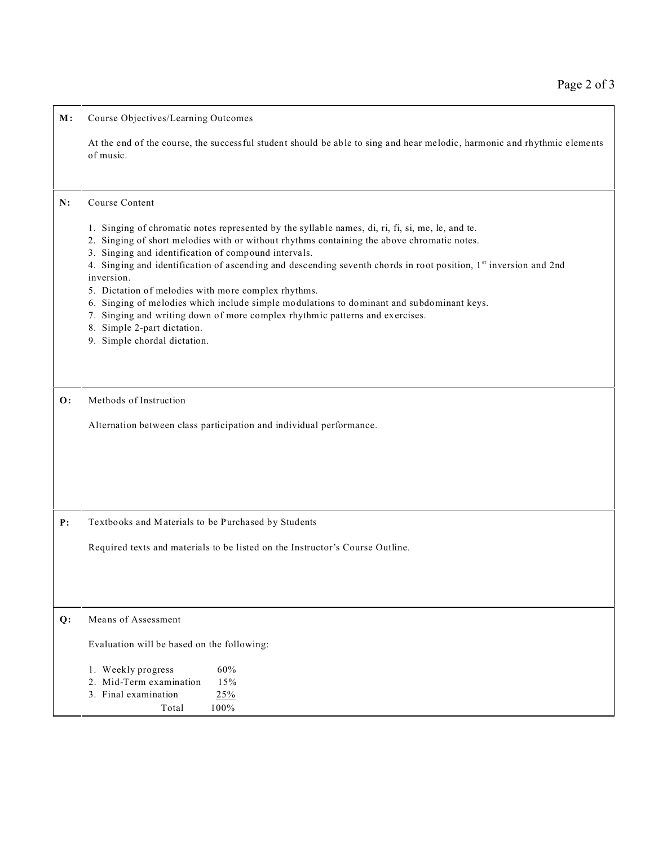**M:** Course Objectives/Learning Outcomes

At the end of the course, the successful student should be able to sing and hear melodic, harmonic and rhythmic elements of music.

## **N:** Course Content

- 1. Singing of chromatic notes represented by the syllable names, di, ri, fi, si, me, le, and te.
- 2. Singing of short melodies with or without rhythms containing the above chromatic notes.
- 3. Singing and identification of compound intervals.

4. Singing and identification of ascending and descending seventh chords in root position, 1st inversion and 2nd inversion.

- 5. Dictation of melodies with more complex rhythms.
- 6. Singing of melodies which include simple modulations to dominant and subdominant keys.
- 7. Singing and writing down of more complex rhythmic patterns and exercises.
- 8. Simple 2-part dictation.
- 9. Simple chordal dictation.

**O:** Methods of Instruction

Alternation between class participation and individual performance.

**P:** Textbooks and Materials to be Purchased by Students

Required texts and materials to be listed on the Instructor's Course Outline.

## **Q:** Means of Assessment

Evaluation will be based on the following:

|  | 1. Weekly progress | 60% |
|--|--------------------|-----|
|--|--------------------|-----|

|  | 2. Mid-Term examination | 15% |
|--|-------------------------|-----|
|  |                         |     |

- 3. Final examination 25%
- Total 100%